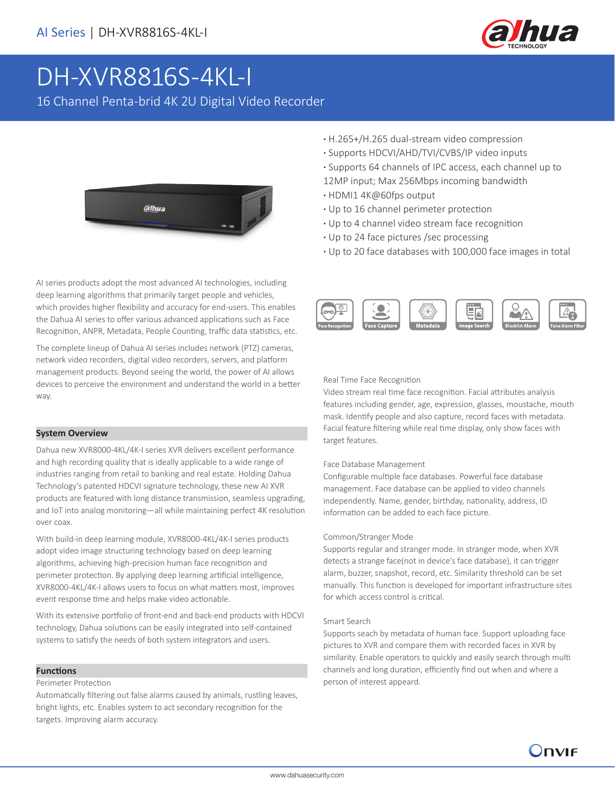

# DH-XVR8816S-4KL-I

16 Channel Penta-brid 4K 2U Digital Video Recorder



AI series products adopt the most advanced AI technologies, including deep learning algorithms that primarily target people and vehicles, which provides higher flexibility and accuracy for end-users. This enables the Dahua AI series to offer various advanced applications such as Face Recognition, ANPR, Metadata, People Counting, traffic data statistics, etc.

The complete lineup of Dahua AI series includes network (PTZ) cameras, network video recorders, digital video recorders, servers, and platform management products. Beyond seeing the world, the power of AI allows devices to perceive the environment and understand the world in a better way.

#### **System Overview**

Dahua new XVR8000-4KL/4K-I series XVR delivers excellent performance and high recording quality that is ideally applicable to a wide range of industries ranging from retail to banking and real estate. Holding Dahua Technology's patented HDCVI signature technology, these new AI XVR products are featured with long distance transmission, seamless upgrading, and IoT into analog monitoring—all while maintaining perfect 4K resolution over coax.

With build-in deep learning module, XVR8000-4KL/4K-I series products adopt video image structuring technology based on deep learning algorithms, achieving high-precision human face recognition and perimeter protection. By applying deep learning artificial intelligence, XVR8000-4KL/4K-I allows users to focus on what matters most, improves event response time and helps make video actionable.

With its extensive portfolio of front-end and back-end products with HDCVI technology, Dahua solutions can be easily integrated into self-contained systems to satisfy the needs of both system integrators and users.

#### **Functions**

#### Perimeter Protection

Automatically filtering out false alarms caused by animals, rustling leaves, bright lights, etc. Enables system to act secondary recognition for the targets. Improving alarm accuracy.

- **·** H.265+/H.265 dual-stream video compression
- **·** Supports HDCVI/AHD/TVI/CVBS/IP video inputs
- **·** Supports 64 channels of IPC access, each channel up to
- 12MP input; Max 256Mbps incoming bandwidth
- **·** HDMI1 4K@60fps output
- **·** Up to 16 channel perimeter protection
- **·** Up to 4 channel video stream face recognition
- **·** Up to 24 face pictures /sec processing
- **·** Up to 20 face databases with 100,000 face images in total



Real Time Face Recognition

Video stream real time face recognition. Facial attributes analysis features including gender, age, expression, glasses, moustache, mouth mask. Identify people and also capture, record faces with metadata. Facial feature filtering while real time display, only show faces with target features.

### Face Database Management

Configurable multiple face databases. Powerful face database management. Face database can be applied to video channels independently. Name, gender, birthday, nationality, address, ID information can be added to each face picture.

#### Common/Stranger Mode

Supports regular and stranger mode. In stranger mode, when XVR detects a strange face(not in device's face database), it can trigger alarm, buzzer, snapshot, record, etc. Similarity threshold can be set manually. This function is developed for important infrastructure sites for which access control is critical.

#### Smart Search

Supports seach by metadata of human face. Support uploading face pictures to XVR and compare them with recorded faces in XVR by similarity. Enable operators to quickly and easily search through multi channels and long duration, efficiently find out when and where a person of interest appeard.

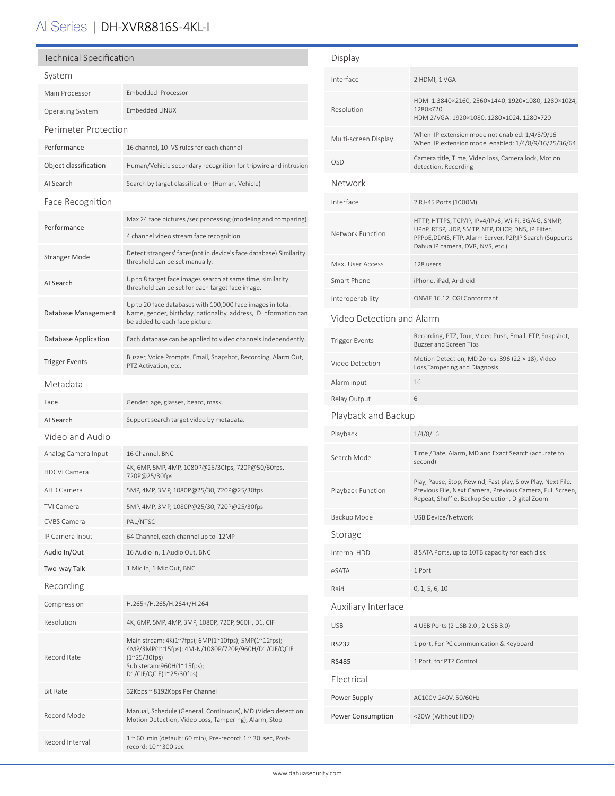# AI Series | DH-XVR8816S-4KL-I

| <b>Technical Specification</b>                   |                                                                                                                                                                  | Display                                                                                                                   |                                                                                                                                                                                                          |  |
|--------------------------------------------------|------------------------------------------------------------------------------------------------------------------------------------------------------------------|---------------------------------------------------------------------------------------------------------------------------|----------------------------------------------------------------------------------------------------------------------------------------------------------------------------------------------------------|--|
| System                                           |                                                                                                                                                                  | Interface                                                                                                                 | 2 HDMI, 1 VGA                                                                                                                                                                                            |  |
| Main Processor                                   | Embedded Processor                                                                                                                                               |                                                                                                                           |                                                                                                                                                                                                          |  |
| <b>Operating System</b>                          | Embedded LINUX                                                                                                                                                   | HDMI 1:3840×2160, 2560×1440, 1920×1080, 1280×1024,<br>Resolution<br>1280×720<br>HDMI2/VGA: 1920×1080, 1280×1024, 1280×720 |                                                                                                                                                                                                          |  |
| Perimeter Protection                             |                                                                                                                                                                  | Multi-screen Display                                                                                                      | When IP extension mode not enabled: 1/4/8/9/16                                                                                                                                                           |  |
| Performance                                      | 16 channel, 10 IVS rules for each channel                                                                                                                        |                                                                                                                           | When IP extension mode enabled: 1/4/8/9/16/25/36/64<br>Camera title, Time, Video loss, Camera lock, Motion                                                                                               |  |
| Object classification                            | Human/Vehicle secondary recognition for tripwire and intrusion                                                                                                   | <b>OSD</b>                                                                                                                | detection, Recording                                                                                                                                                                                     |  |
| AI Search                                        | Search by target classification (Human, Vehicle)                                                                                                                 | Network                                                                                                                   |                                                                                                                                                                                                          |  |
| Face Recognition                                 |                                                                                                                                                                  | Interface                                                                                                                 | 2 RJ-45 Ports (1000M)                                                                                                                                                                                    |  |
| Performance                                      | Max 24 face pictures /sec processing (modeling and comparing)                                                                                                    | Network Function                                                                                                          | HTTP, HTTPS, TCP/IP, IPv4/IPv6, Wi-Fi, 3G/4G, SNMP,<br>UPnP, RTSP, UDP, SMTP, NTP, DHCP, DNS, IP Filter,<br>PPPoE, DDNS, FTP, Alarm Server, P2P, IP Search (Supports<br>Dahua IP camera, DVR, NVS, etc.) |  |
|                                                  | 4 channel video stream face recognition                                                                                                                          |                                                                                                                           |                                                                                                                                                                                                          |  |
| <b>Stranger Mode</b>                             | Detect strangers' faces(not in device's face database). Similarity<br>threshold can be set manually.                                                             | Max. User Access                                                                                                          | 128 users                                                                                                                                                                                                |  |
| AI Search                                        | Up to 8 target face images search at same time, similarity                                                                                                       | Smart Phone                                                                                                               | iPhone, iPad, Android                                                                                                                                                                                    |  |
|                                                  | threshold can be set for each target face image.                                                                                                                 | Interoperability                                                                                                          | ONVIF 16.12, CGI Conformant                                                                                                                                                                              |  |
| Database Management                              | Up to 20 face databases with 100,000 face images in total.<br>Name, gender, birthday, nationality, address, ID information can<br>be added to each face picture. |                                                                                                                           | Video Detection and Alarm                                                                                                                                                                                |  |
| Database Application                             | Each database can be applied to video channels independently.                                                                                                    | <b>Trigger Events</b>                                                                                                     | Recording, PTZ, Tour, Video Push, Email, FTP, Snapshot,<br>Buzzer and Screen Tips                                                                                                                        |  |
| <b>Trigger Events</b>                            | Buzzer, Voice Prompts, Email, Snapshot, Recording, Alarm Out,<br>PTZ Activation, etc.                                                                            | Video Detection                                                                                                           | Motion Detection, MD Zones: 396 (22 × 18), Video<br>Loss, Tampering and Diagnosis                                                                                                                        |  |
| Metadata                                         |                                                                                                                                                                  | Alarm input                                                                                                               | 16                                                                                                                                                                                                       |  |
| Face                                             | Gender, age, glasses, beard, mask.                                                                                                                               | Relay Output                                                                                                              | 6                                                                                                                                                                                                        |  |
| AI Search                                        | Support search target video by metadata.                                                                                                                         | Playback and Backup                                                                                                       |                                                                                                                                                                                                          |  |
| Video and Audio                                  |                                                                                                                                                                  | Playback                                                                                                                  | 1/4/8/16                                                                                                                                                                                                 |  |
| Analog Camera Input                              | 16 Channel, BNC                                                                                                                                                  | Search Mode                                                                                                               | Time /Date, Alarm, MD and Exact Search (accurate to                                                                                                                                                      |  |
| <b>HDCVI Camera</b>                              | 4K, 6MP, 5MP, 4MP, 1080P@25/30fps, 720P@50/60fps,<br>720P@25/30fps                                                                                               |                                                                                                                           | second)                                                                                                                                                                                                  |  |
| AHD Camera                                       | 5MP, 4MP, 3MP, 1080P@25/30, 720P@25/30fps                                                                                                                        | Playback Function                                                                                                         | Play, Pause, Stop, Rewind, Fast play, Slow Play, Next File,<br>Previous File, Next Camera, Previous Camera, Full Screen,<br>Repeat, Shuffle, Backup Selection, Digital Zoom                              |  |
| <b>TVI Camera</b>                                | 5MP, 4MP, 3MP, 1080P@25/30, 720P@25/30fps                                                                                                                        | Backup Mode                                                                                                               | USB Device/Network                                                                                                                                                                                       |  |
| <b>CVBS Camera</b><br>IP Camera Input            | PAL/NTSC<br>64 Channel, each channel up to 12MP                                                                                                                  | Storage                                                                                                                   |                                                                                                                                                                                                          |  |
| Audio In/Out                                     | 16 Audio In, 1 Audio Out, BNC                                                                                                                                    | Internal HDD                                                                                                              | 8 SATA Ports, up to 10TB capacity for each disk                                                                                                                                                          |  |
| Two-way Talk                                     | 1 Mic In, 1 Mic Out, BNC                                                                                                                                         | eSATA                                                                                                                     | 1 Port                                                                                                                                                                                                   |  |
| Recording                                        |                                                                                                                                                                  | Raid                                                                                                                      | 0, 1, 5, 6, 10                                                                                                                                                                                           |  |
| Compression                                      | H.265+/H.265/H.264+/H.264                                                                                                                                        | Auxiliary Interface                                                                                                       |                                                                                                                                                                                                          |  |
| Resolution                                       | 4K, 6MP, 5MP, 4MP, 3MP, 1080P, 720P, 960H, D1, CIF                                                                                                               | <b>USB</b>                                                                                                                | 4 USB Ports (2 USB 2.0, 2 USB 3.0)                                                                                                                                                                       |  |
|                                                  | Main stream: 4K(1~7fps); 6MP(1~10fps); 5MP(1~12fps);                                                                                                             |                                                                                                                           |                                                                                                                                                                                                          |  |
| Record Rate                                      | 4MP/3MP(1~15fps); 4M-N/1080P/720P/960H/D1/CIF/QCIF<br>$(1^{\sim}25/30$ fps)<br>Sub steram:960H(1~15fps);<br>D1/CIF/QCIF(1~25/30fps)                              | <b>RS232</b>                                                                                                              | 1 port, For PC communication & Keyboard                                                                                                                                                                  |  |
|                                                  |                                                                                                                                                                  | <b>RS485</b>                                                                                                              | 1 Port, for PTZ Control                                                                                                                                                                                  |  |
| <b>Bit Rate</b><br>32Kbps ~ 8192Kbps Per Channel |                                                                                                                                                                  | Electrical                                                                                                                |                                                                                                                                                                                                          |  |
|                                                  |                                                                                                                                                                  | Power Supply                                                                                                              | AC100V-240V, 50/60Hz                                                                                                                                                                                     |  |
| Record Mode                                      | Manual, Schedule (General, Continuous), MD (Video detection:<br>Motion Detection, Video Loss, Tampering), Alarm, Stop                                            | Power Consumption                                                                                                         | <20W (Without HDD)                                                                                                                                                                                       |  |
| Record Interval                                  | $1~$ ~60 min (default: 60 min), Pre-record: $1~$ ~30 sec, Post-<br>record: 10 ~ 300 sec                                                                          |                                                                                                                           |                                                                                                                                                                                                          |  |